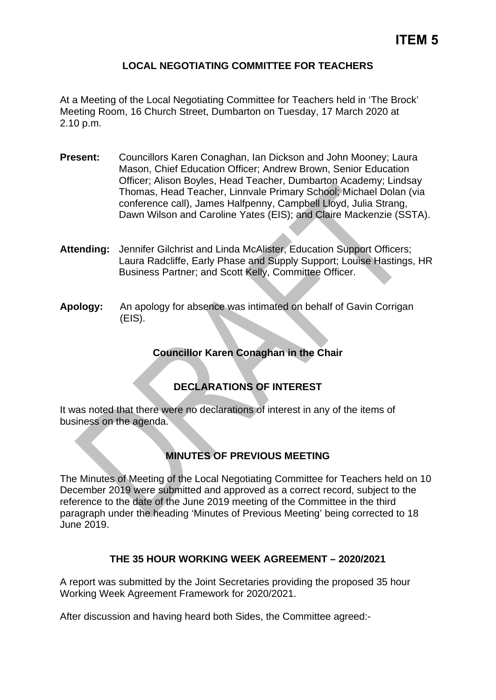## **LOCAL NEGOTIATING COMMITTEE FOR TEACHERS**

At a Meeting of the Local Negotiating Committee for Teachers held in 'The Brock' Meeting Room, 16 Church Street, Dumbarton on Tuesday, 17 March 2020 at 2.10 p.m.

- **Present:** Councillors Karen Conaghan, Ian Dickson and John Mooney; Laura Mason, Chief Education Officer; Andrew Brown, Senior Education Officer; Alison Boyles, Head Teacher, Dumbarton Academy; Lindsay Thomas, Head Teacher, Linnvale Primary School; Michael Dolan (via conference call), James Halfpenny, Campbell Lloyd, Julia Strang, Dawn Wilson and Caroline Yates (EIS); and Claire Mackenzie (SSTA).
- **Attending:** Jennifer Gilchrist and Linda McAlister, Education Support Officers; Laura Radcliffe, Early Phase and Supply Support; Louise Hastings, HR Business Partner; and Scott Kelly, Committee Officer.
- **Apology:** An apology for absence was intimated on behalf of Gavin Corrigan (EIS).

## **Councillor Karen Conaghan in the Chair**

## **DECLARATIONS OF INTEREST**

It was noted that there were no declarations of interest in any of the items of business on the agenda.

## **MINUTES OF PREVIOUS MEETING**

The Minutes of Meeting of the Local Negotiating Committee for Teachers held on 10 December 2019 were submitted and approved as a correct record, subject to the reference to the date of the June 2019 meeting of the Committee in the third paragraph under the heading 'Minutes of Previous Meeting' being corrected to 18 June 2019.

## **THE 35 HOUR WORKING WEEK AGREEMENT – 2020/2021**

A report was submitted by the Joint Secretaries providing the proposed 35 hour Working Week Agreement Framework for 2020/2021.

After discussion and having heard both Sides, the Committee agreed:-